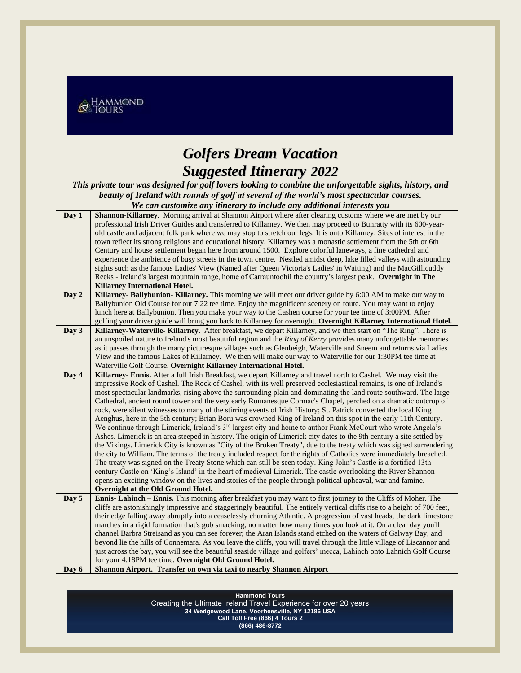

## *Golfers Dream Vacation Suggested Itinerary 2022*

*This private tour was designed for golf lovers looking to combine the unforgettable sights, history, and beauty of Ireland with rounds of golf at several of the world's most spectacular courses. We can customize any itinerary to include any additional interests you*

| Day 1 | Shannon-Killarney. Morning arrival at Shannon Airport where after clearing customs where we are met by our                 |
|-------|----------------------------------------------------------------------------------------------------------------------------|
|       | professional Irish Driver Guides and transferred to Killarney. We then may proceed to Bunratty with its 600-year-          |
|       | old castle and adjacent folk park where we may stop to stretch our legs. It is onto Killarney. Sites of interest in the    |
|       | town reflect its strong religious and educational history. Killarney was a monastic settlement from the 5th or 6th         |
|       | Century and house settlement began here from around 1500. Explore colorful laneways, a fine cathedral and                  |
|       | experience the ambience of busy streets in the town centre. Nestled amidst deep, lake filled valleys with astounding       |
|       | sights such as the famous Ladies' View (Named after Queen Victoria's Ladies' in Waiting) and the MacGillicuddy             |
|       | Reeks - Ireland's largest mountain range, home of Carrauntoohil the country's largest peak. Overnight in The               |
|       | Killarney International Hotel.                                                                                             |
| Day 2 | Killarney-Ballybunion-Killarney. This morning we will meet our driver guide by 6:00 AM to make our way to                  |
|       | Ballybunion Old Course for out 7:22 tee time. Enjoy the magnificent scenery on route. You may want to enjoy                |
|       | lunch here at Ballybunion. Then you make your way to the Cashen course for your tee time of 3:00PM. After                  |
|       | golfing your driver guide will bring you back to Killarney for overnight. Overnight Killarney International Hotel.         |
| Day 3 | Killarney-Waterville-Killarney. After breakfast, we depart Killarney, and we then start on "The Ring". There is            |
|       | an unspoiled nature to Ireland's most beautiful region and the Ring of Kerry provides many unforgettable memories          |
|       | as it passes through the many picturesque villages such as Glenbeigh, Waterville and Sneem and returns via Ladies          |
|       | View and the famous Lakes of Killarney. We then will make our way to Waterville for our 1:30PM tee time at                 |
|       | Waterville Golf Course. Overnight Killarney International Hotel.                                                           |
| Day 4 | Killarney- Ennis. After a full Irish Breakfast, we depart Killarney and travel north to Cashel. We may visit the           |
|       | impressive Rock of Cashel. The Rock of Cashel, with its well preserved ecclesiastical remains, is one of Ireland's         |
|       | most spectacular landmarks, rising above the surrounding plain and dominating the land route southward. The large          |
|       | Cathedral, ancient round tower and the very early Romanesque Cormac's Chapel, perched on a dramatic outcrop of             |
|       | rock, were silent witnesses to many of the stirring events of Irish History; St. Patrick converted the local King          |
|       | Aenghus, here in the 5th century; Brian Boru was crowned King of Ireland on this spot in the early 11th Century.           |
|       | We continue through Limerick, Ireland's $3^{rd}$ largest city and home to author Frank McCourt who wrote Angela's          |
|       | Ashes. Limerick is an area steeped in history. The origin of Limerick city dates to the 9th century a site settled by      |
|       | the Vikings. Limerick City is known as "City of the Broken Treaty", due to the treaty which was signed surrendering        |
|       | the city to William. The terms of the treaty included respect for the rights of Catholics were immediately breached.       |
|       | The treaty was signed on the Treaty Stone which can still be seen today. King John's Castle is a fortified 13th            |
|       | century Castle on 'King's Island' in the heart of medieval Limerick. The castle overlooking the River Shannon              |
|       | opens an exciting window on the lives and stories of the people through political upheaval, war and famine.                |
|       | Overnight at the Old Ground Hotel.                                                                                         |
| Day 5 | Ennis- Lahinch – Ennis. This morning after breakfast you may want to first journey to the Cliffs of Moher. The             |
|       | cliffs are astonishingly impressive and staggeringly beautiful. The entirely vertical cliffs rise to a height of 700 feet, |
|       | their edge falling away abruptly into a ceaselessly churning Atlantic. A progression of vast heads, the dark limestone     |
|       | marches in a rigid formation that's gob smacking, no matter how many times you look at it. On a clear day you'll           |
|       | channel Barbra Streisand as you can see forever; the Aran Islands stand etched on the waters of Galway Bay, and            |
|       | beyond lie the hills of Connemara. As you leave the cliffs, you will travel through the little village of Liscannor and    |
|       | just across the bay, you will see the beautiful seaside village and golfers' mecca, Lahinch onto Lahnich Golf Course       |
|       | for your 4:18PM tee time. Overnight Old Ground Hotel.                                                                      |
| Day 6 | Shannon Airport. Transfer on own via taxi to nearby Shannon Airport                                                        |
|       |                                                                                                                            |

**Hammond Tours** Creating the Ultimate Ireland Travel Experience for over 20 years **34 Wedgewood Lane, Voorheesville, NY 12186 USA Call Toll Free (866) 4 Tours 2 (866) 486-8772**